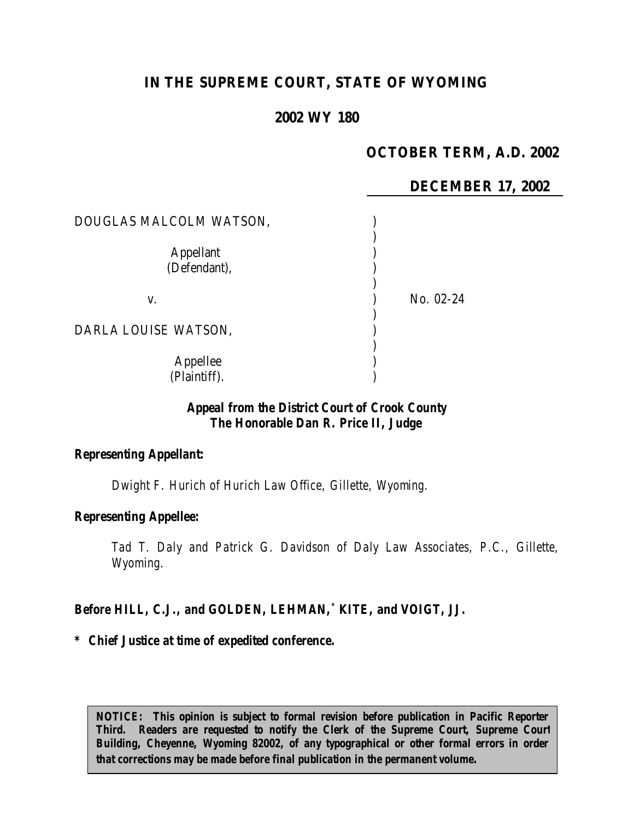# **IN THE SUPREME COURT, STATE OF WYOMING**

# **2002 WY 180**

# **OCTOBER TERM, A.D. 2002**

### **DECEMBER 17, 2002**

| DOUGLAS MALCOLM WATSON,          |           |
|----------------------------------|-----------|
| <b>Appellant</b><br>(Defendant), |           |
| V.                               | No. 02-24 |
| DARLA LOUISE WATSON,             |           |
| Appellee<br>(Plaintiff).         |           |

### *Appeal from the District Court of Crook County The Honorable Dan R. Price II, Judge*

#### *Representing Appellant:*

*Dwight F. Hurich of Hurich Law Office, Gillette, Wyoming.*

#### *Representing Appellee:*

*Tad T. Daly and Patrick G. Davidson of Daly Law Associates, P.C., Gillette, Wyoming.*

#### *Before HILL, C.J., and GOLDEN, LEHMAN,\* KITE, and VOIGT, JJ.*

#### *\* Chief Justice at time of expedited conference.*

*NOTICE: This opinion is subject to formal revision before publication in Pacific Reporter Third. Readers are requested to notify the Clerk of the Supreme Court, Supreme Court Building, Cheyenne, Wyoming 82002, of any typographical or other formal errors in order that corrections may be made before final publication in the permanent volume.*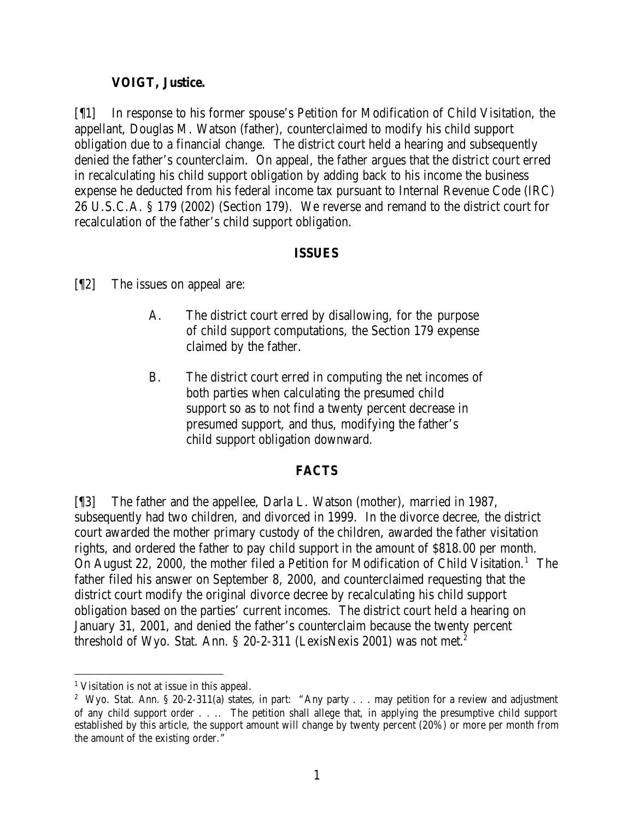### **VOIGT, Justice.**

[¶1] In response to his former spouse's Petition for Modification of Child Visitation, the appellant, Douglas M. Watson (father), counterclaimed to modify his child support obligation due to a financial change. The district court held a hearing and subsequently denied the father's counterclaim. On appeal, the father argues that the district court erred in recalculating his child support obligation by adding back to his income the business expense he deducted from his federal income tax pursuant to Internal Revenue Code (IRC) 26 U.S.C.A. § 179 (2002) (Section 179). We reverse and remand to the district court for recalculation of the father's child support obligation.

#### **ISSUES**

[¶2] The issues on appeal are:

- A. The district court erred by disallowing, for the purpose of child support computations, the Section 179 expense claimed by the father.
- B. The district court erred in computing the net incomes of both parties when calculating the presumed child support so as to not find a twenty percent decrease in presumed support, and thus, modifying the father's child support obligation downward.

#### **FACTS**

[¶3] The father and the appellee, Darla L. Watson (mother), married in 1987, subsequently had two children, and divorced in 1999. In the divorce decree, the district court awarded the mother primary custody of the children, awarded the father visitation rights, and ordered the father to pay child support in the amount of \$818.00 per month. On August 22, 2000, the mother filed a Petition for Modification of Child Visitation.<sup>1</sup> The father filed his answer on September 8, 2000, and counterclaimed requesting that the district court modify the original divorce decree by recalculating his child support obligation based on the parties' current incomes. The district court held a hearing on January 31, 2001, and denied the father's counterclaim because the twenty percent threshold of Wyo. Stat. Ann. § 20-2-311 (LexisNexis 2001) was not met.<sup>2</sup>

<sup>&</sup>lt;sup>1</sup> Visitation is not at issue in this appeal.

<sup>&</sup>lt;sup>2</sup> Wyo. Stat. Ann. § 20-2-311(a) states, in part: "Any party . . . may petition for a review and adjustment of any child support order . . .. The petition shall allege that, in applying the presumptive child support established by this article, the support amount will change by twenty percent (20%) or more per month from the amount of the existing order."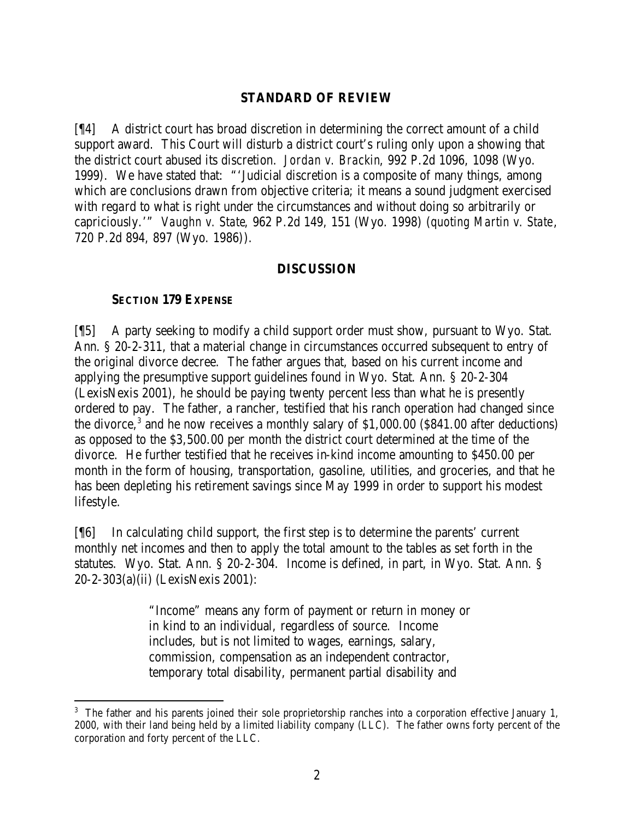### **STANDARD OF REVIEW**

[¶4] A district court has broad discretion in determining the correct amount of a child support award. This Court will disturb a district court's ruling only upon a showing that the district court abused its discretion. *Jordan v. Brackin*, 992 P.2d 1096, 1098 (Wyo. 1999). We have stated that: "'Judicial discretion is a composite of many things, among which are conclusions drawn from objective criteria; it means a sound judgment exercised with regard to what is right under the circumstances and without doing so arbitrarily or capriciously.'" *Vaughn v. State*, 962 P.2d 149, 151 (Wyo. 1998) (*quoting Martin v. State*, 720 P.2d 894, 897 (Wyo. 1986)).

#### **DISCUSSION**

### **SECTION 179 EXPENSE**

[¶5] A party seeking to modify a child support order must show, pursuant to Wyo. Stat. Ann. § 20-2-311, that a material change in circumstances occurred subsequent to entry of the original divorce decree. The father argues that, based on his current income and applying the presumptive support guidelines found in Wyo. Stat. Ann. § 20-2-304 (LexisNexis 2001), he should be paying twenty percent less than what he is presently ordered to pay. The father, a rancher, testified that his ranch operation had changed since the divorce,<sup>3</sup> and he now receives a monthly salary of \$1,000.00 (\$841.00 after deductions) as opposed to the \$3,500.00 per month the district court determined at the time of the divorce. He further testified that he receives in-kind income amounting to \$450.00 per month in the form of housing, transportation, gasoline, utilities, and groceries, and that he has been depleting his retirement savings since May 1999 in order to support his modest lifestyle.

[¶6] In calculating child support, the first step is to determine the parents' current monthly net incomes and then to apply the total amount to the tables as set forth in the statutes. Wyo. Stat. Ann. § 20-2-304. Income is defined, in part, in Wyo. Stat. Ann. § 20-2-303(a)(ii) (LexisNexis 2001):

> "Income" means any form of payment or return in money or in kind to an individual, regardless of source. Income includes, but is not limited to wages, earnings, salary, commission, compensation as an independent contractor, temporary total disability, permanent partial disability and

<sup>&</sup>lt;sup>3</sup> The father and his parents joined their sole proprietorship ranches into a corporation effective January 1, 2000, with their land being held by a limited liability company (LLC). The father owns forty percent of the corporation and forty percent of the LLC.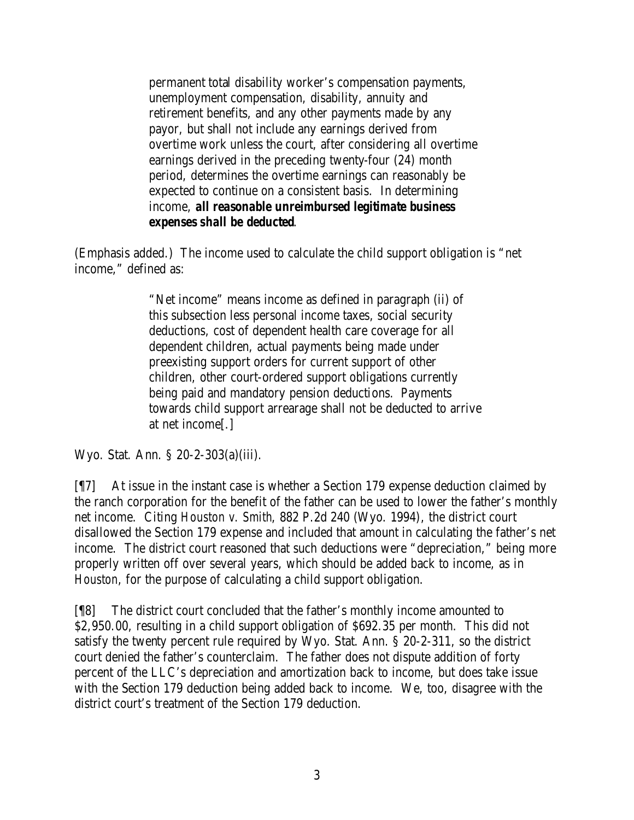permanent total disability worker's compensation payments, unemployment compensation, disability, annuity and retirement benefits, and any other payments made by any payor, but shall not include any earnings derived from overtime work unless the court, after considering all overtime earnings derived in the preceding twenty-four (24) month period, determines the overtime earnings can reasonably be expected to continue on a consistent basis. In determining income, *all reasonable unreimbursed legitimate business expenses shall be deducted*.

(Emphasis added.) The income used to calculate the child support obligation is "net income," defined as:

> "Net income" means income as defined in paragraph (ii) of this subsection less personal income taxes, social security deductions, cost of dependent health care coverage for all dependent children, actual payments being made under preexisting support orders for current support of other children, other court-ordered support obligations currently being paid and mandatory pension deductions. Payments towards child support arrearage shall not be deducted to arrive at net income[.]

Wyo. Stat. Ann. § 20-2-303(a)(iii).

[¶7] At issue in the instant case is whether a Section 179 expense deduction claimed by the ranch corporation for the benefit of the father can be used to lower the father's monthly net income. Citing *Houston v. Smith*, 882 P.2d 240 (Wyo. 1994), the district court disallowed the Section 179 expense and included that amount in calculating the father's net income. The district court reasoned that such deductions were "depreciation," being more properly written off over several years, which should be added back to income, as in *Houston*, for the purpose of calculating a child support obligation.

[¶8] The district court concluded that the father's monthly income amounted to \$2,950.00, resulting in a child support obligation of \$692.35 per month. This did not satisfy the twenty percent rule required by Wyo. Stat. Ann. § 20-2-311, so the district court denied the father's counterclaim. The father does not dispute addition of forty percent of the LLC's depreciation and amortization back to income, but does take issue with the Section 179 deduction being added back to income. We, too, disagree with the district court's treatment of the Section 179 deduction.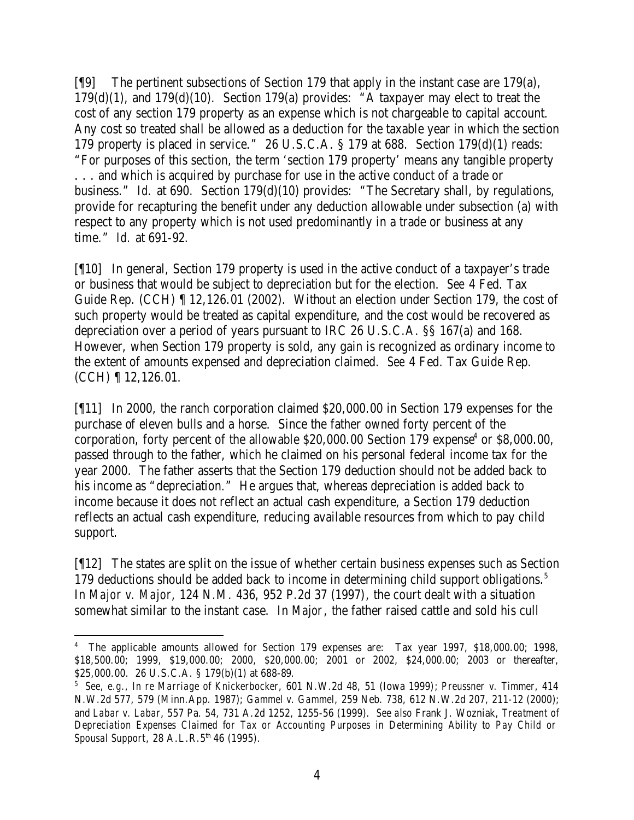[¶9] The pertinent subsections of Section 179 that apply in the instant case are 179(a), 179(d)(1), and 179(d)(10). Section 179(a) provides: "A taxpayer may elect to treat the cost of any section 179 property as an expense which is not chargeable to capital account. Any cost so treated shall be allowed as a deduction for the taxable year in which the section 179 property is placed in service." 26 U.S.C.A. § 179 at 688. Section 179(d)(1) reads: "For purposes of this section, the term 'section 179 property' means any tangible property . . . and which is acquired by purchase for use in the active conduct of a trade or business." *Id.* at 690. Section 179(d)(10) provides: "The Secretary shall, by regulations, provide for recapturing the benefit under any deduction allowable under subsection (a) with respect to any property which is not used predominantly in a trade or business at any time." *Id.* at 691-92.

[¶10] In general, Section 179 property is used in the active conduct of a taxpayer's trade or business that would be subject to depreciation but for the election. *See* 4 Fed. Tax Guide Rep. (CCH) ¶ 12,126.01 (2002). Without an election under Section 179, the cost of such property would be treated as capital expenditure, and the cost would be recovered as depreciation over a period of years pursuant to IRC 26 U.S.C.A. §§ 167(a) and 168. However, when Section 179 property is sold, any gain is recognized as ordinary income to the extent of amounts expensed and depreciation claimed. *See* 4 Fed. Tax Guide Rep. (CCH) ¶ 12,126.01.

[¶11] In 2000, the ranch corporation claimed \$20,000.00 in Section 179 expenses for the purchase of eleven bulls and a horse. Since the father owned forty percent of the corporation, forty percent of the allowable  $$20,000.00$  Section 179 expense<sup>4</sup> or  $$8,000.00$ , passed through to the father, which he claimed on his personal federal income tax for the year 2000. The father asserts that the Section 179 deduction should not be added back to his income as "depreciation." He argues that, whereas depreciation is added back to income because it does not reflect an actual cash expenditure, a Section 179 deduction reflects an actual cash expenditure, reducing available resources from which to pay child support.

[¶12] The states are split on the issue of whether certain business expenses such as Section 179 deductions should be added back to income in determining child support obligations.<sup>5</sup> In *Major v. Major*, 124 N.M. 436, 952 P.2d 37 (1997), the court dealt with a situation somewhat similar to the instant case. In *Major*, the father raised cattle and sold his cull

 <sup>4</sup> The applicable amounts allowed for Section 179 expenses are: Tax year 1997, \$18,000.00; 1998, \$18,500.00; 1999, \$19,000.00; 2000, \$20,000.00; 2001 or 2002, \$24,000.00; 2003 or thereafter, \$25,000.00. 26 U.S.C.A. § 179(b)(1) at 688-89.

<sup>5</sup> *See, e.g., In re Marriage of Knickerbocker*, 601 N.W.2d 48, 51 (Iowa 1999); *Preussner v. Timmer*, 414 N.W.2d 577, 579 (Minn.App. 1987); *Gammel v. Gammel*, 259 Neb. 738, 612 N.W.2d 207, 211-12 (2000); and *Labar v. Labar*, 557 Pa. 54, 731 A.2d 1252, 1255-56 (1999). *See also* Frank J. Wozniak, *Treatment of Depreciation Expenses Claimed for Tax or Accounting Purposes in Determining Ability to Pay Child or Spousal Support*, 28 A.L.R.5<sup>th</sup> 46 (1995).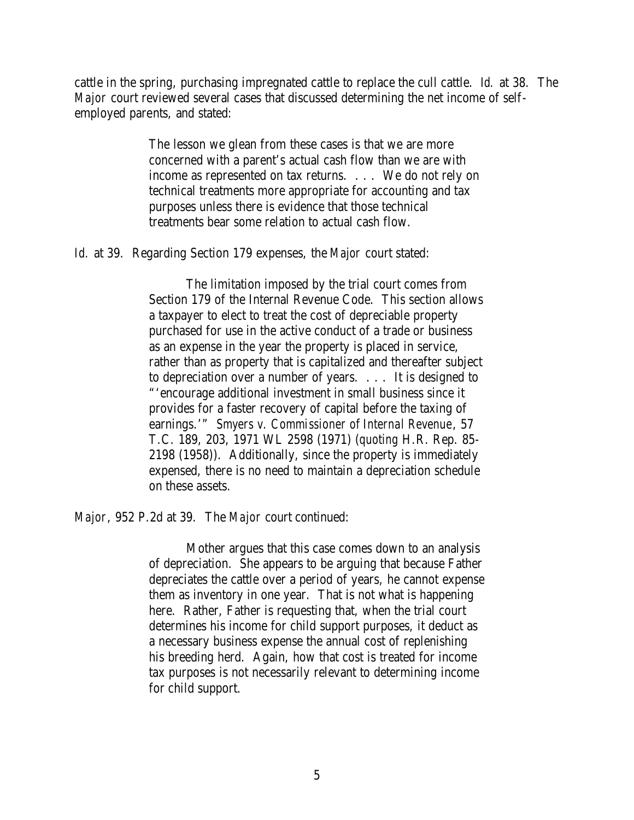cattle in the spring, purchasing impregnated cattle to replace the cull cattle. *Id.* at 38. The *Major* court reviewed several cases that discussed determining the net income of selfemployed parents, and stated:

> The lesson we glean from these cases is that we are more concerned with a parent's actual cash flow than we are with income as represented on tax returns. . . . We do not rely on technical treatments more appropriate for accounting and tax purposes unless there is evidence that those technical treatments bear some relation to actual cash flow.

*Id.* at 39. Regarding Section 179 expenses, the *Major* court stated:

The limitation imposed by the trial court comes from Section 179 of the Internal Revenue Code. This section allows a taxpayer to elect to treat the cost of depreciable property purchased for use in the active conduct of a trade or business as an expense in the year the property is placed in service, rather than as property that is capitalized and thereafter subject to depreciation over a number of years. . . . It is designed to "'encourage additional investment in small business since it provides for a faster recovery of capital before the taxing of earnings.'" *Smyers v. Commissioner of Internal Revenue*, 57 T.C. 189, 203, 1971 WL 2598 (1971) (*quoting* H.R. Rep. 85- 2198 (1958)). Additionally, since the property is immediately expensed, there is no need to maintain a depreciation schedule on these assets.

*Major*, 952 P.2d at 39. The *Major* court continued:

Mother argues that this case comes down to an analysis of depreciation. She appears to be arguing that because Father depreciates the cattle over a period of years, he cannot expense them as inventory in one year. That is not what is happening here. Rather, Father is requesting that, when the trial court determines his income for child support purposes, it deduct as a necessary business expense the annual cost of replenishing his breeding herd. Again, how that cost is treated for income tax purposes is not necessarily relevant to determining income for child support.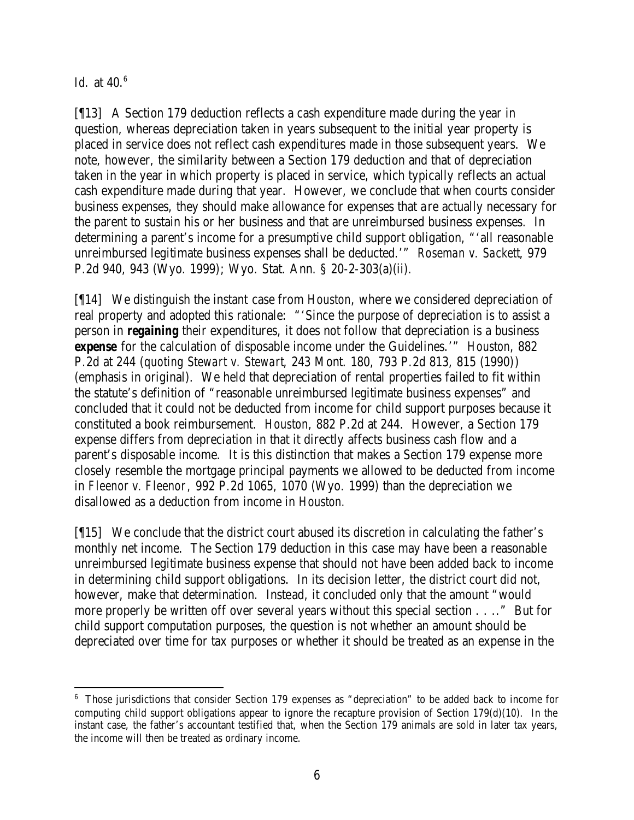*Id.* at 40.<sup>6</sup>

[¶13] A Section 179 deduction reflects a cash expenditure made during the year in question, whereas depreciation taken in years subsequent to the initial year property is placed in service does not reflect cash expenditures made in those subsequent years. We note, however, the similarity between a Section 179 deduction and that of depreciation taken in the year in which property is placed in service, which typically reflects an actual cash expenditure made during that year. However, we conclude that when courts consider business expenses, they should make allowance for expenses that are actually necessary for the parent to sustain his or her business and that are unreimbursed business expenses. In determining a parent's income for a presumptive child support obligation, "'all reasonable unreimbursed legitimate business expenses shall be deducted.'" *Roseman v. Sackett*, 979 P.2d 940, 943 (Wyo. 1999); Wyo. Stat. Ann. § 20-2-303(a)(ii).

[¶14] We distinguish the instant case from *Houston*, where we considered depreciation of real property and adopted this rationale: "'Since the purpose of depreciation is to assist a person in *regaining* their expenditures, it does not follow that depreciation is a business *expense* for the calculation of disposable income under the Guidelines.'" *Houston*, 882 P.2d at 244 (*quoting Stewart v. Stewart*, 243 Mont. 180, 793 P.2d 813, 815 (1990)) (emphasis in original). We held that depreciation of rental properties failed to fit within the statute's definition of "reasonable unreimbursed legitimate business expenses" and concluded that it could not be deducted from income for child support purposes because it constituted a book reimbursement. *Houston*, 882 P.2d at 244. However, a Section 179 expense differs from depreciation in that it directly affects business cash flow and a parent's disposable income. It is this distinction that makes a Section 179 expense more closely resemble the mortgage principal payments we allowed to be deducted from income in *Fleenor v. Fleenor,* 992 P.2d 1065, 1070 (Wyo. 1999) than the depreciation we disallowed as a deduction from income in *Houston.*

[¶15] We conclude that the district court abused its discretion in calculating the father's monthly net income. The Section 179 deduction in this case may have been a reasonable unreimbursed legitimate business expense that should not have been added back to income in determining child support obligations. In its decision letter, the district court did not, however, make that determination. Instead, it concluded only that the amount "would more properly be written off over several years without this special section . . .." But for child support computation purposes, the question is not whether an amount should be depreciated over time for tax purposes or whether it should be treated as an expense in the

<sup>&</sup>lt;sup>6</sup> Those jurisdictions that consider Section 179 expenses as "depreciation" to be added back to income for computing child support obligations appear to ignore the recapture provision of Section  $179(d)(10)$ . In the instant case, the father's accountant testified that, when the Section 179 animals are sold in later tax years, the income will then be treated as ordinary income.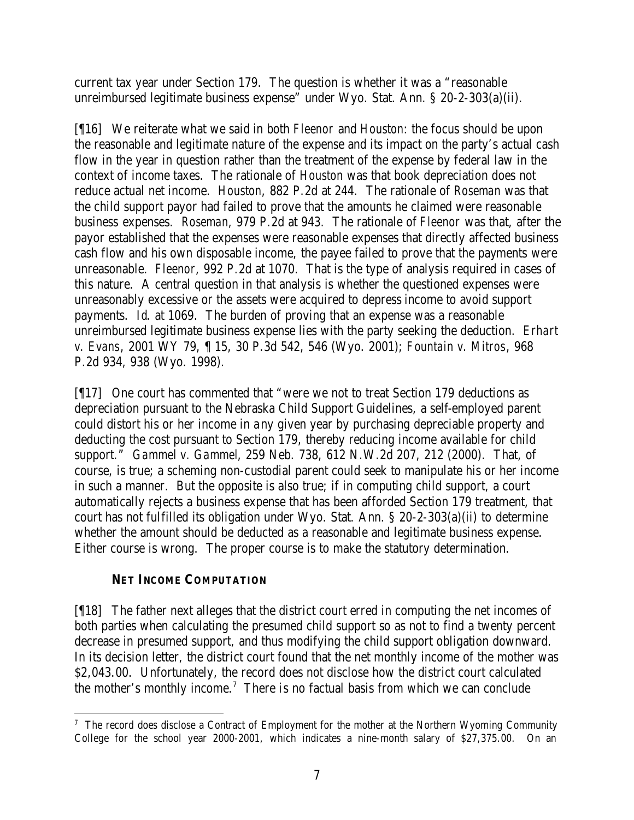current tax year under Section 179. The question is whether it was a "reasonable unreimbursed legitimate business expense" under Wyo. Stat. Ann. § 20-2-303(a)(ii).

[¶16] We reiterate what we said in both *Fleenor* and *Houston*: the focus should be upon the reasonable and legitimate nature of the expense and its impact on the party's actual cash flow in the year in question rather than the treatment of the expense by federal law in the context of income taxes. The rationale of *Houston* was that book depreciation does not reduce actual net income. *Houston*, 882 P.2d at 244. The rationale of *Roseman* was that the child support payor had failed to prove that the amounts he claimed were reasonable business expenses. *Roseman*, 979 P.2d at 943. The rationale of *Fleenor* was that, after the payor established that the expenses were reasonable expenses that directly affected business cash flow and his own disposable income, the payee failed to prove that the payments were unreasonable. *Fleenor*, 992 P.2d at 1070. That is the type of analysis required in cases of this nature. A central question in that analysis is whether the questioned expenses were unreasonably excessive or the assets were acquired to depress income to avoid support payments. *Id*. at 1069. The burden of proving that an expense was a reasonable unreimbursed legitimate business expense lies with the party seeking the deduction. *Erhart v. Evans*, 2001 WY 79, ¶ 15, 30 P.3d 542, 546 (Wyo. 2001); *Fountain v. Mitros*, 968 P.2d 934, 938 (Wyo. 1998).

[¶17] One court has commented that "were we not to treat Section 179 deductions as depreciation pursuant to the Nebraska Child Support Guidelines, a self-employed parent could distort his or her income in any given year by purchasing depreciable property and deducting the cost pursuant to Section 179, thereby reducing income available for child support." *Gammel v. Gammel*, 259 Neb. 738, 612 N.W.2d 207, 212 (2000). That, of course, is true; a scheming non-custodial parent could seek to manipulate his or her income in such a manner. But the opposite is also true; if in computing child support, a court automatically rejects a business expense that has been afforded Section 179 treatment, that court has not fulfilled its obligation under Wyo. Stat. Ann. § 20-2-303(a)(ii) to determine whether the amount should be deducted as a reasonable and legitimate business expense. Either course is wrong. The proper course is to make the statutory determination.

## **NET INCOME COMPUTATION**

[¶18] The father next alleges that the district court erred in computing the net incomes of both parties when calculating the presumed child support so as not to find a twenty percent decrease in presumed support, and thus modifying the child support obligation downward. In its decision letter, the district court found that the net monthly income of the mother was \$2,043.00. Unfortunately, the record does not disclose how the district court calculated the mother's monthly income.<sup>7</sup> There is no factual basis from which we can conclude

 <sup>7</sup> The record does disclose a Contract of Employment for the mother at the Northern Wyoming Community College for the school year 2000-2001, which indicates a nine-month salary of \$27,375.00. On an